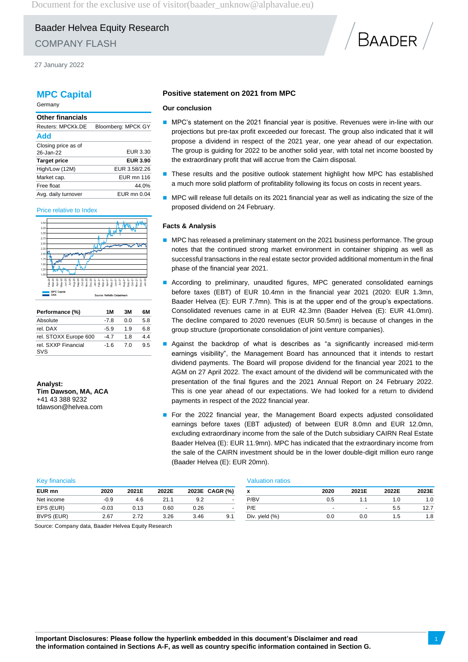Document for the exclusive use of visitor (baader\_unknow@alphavalue.eu)

# Baader Helvea Equity Research COMPANY FLASH

27 January 2022

## **MPC Capital**

Germany

| <b>Other financials</b> |                    |
|-------------------------|--------------------|
| Reuters: MPCKk.DE       | Bloomberg: MPCK GY |
| Add                     |                    |
| Closing price as of     |                    |
| 26-Jan-22               | EUR 3.30           |
| <b>Target price</b>     | <b>EUR 3.90</b>    |
| High/Low (12M)          | EUR 3.58/2.26      |
| Market cap.             | <b>EUR mn 116</b>  |
| Free float              | 44.0%              |
| Avg. daily turnover     | EUR mn 0.04        |

#### Price relative to Index



| Performance (%)            | 1 M    | 3M  | 6М  |
|----------------------------|--------|-----|-----|
| Absolute                   | -78    | ი ი | 5.8 |
| rel. DAX                   | $-5.9$ | 19  | 68  |
| rel. STOXX Europe 600      | -4 7   | 18  | 44  |
| rel. SXXP Financial<br>SVS | $-16$  | 70  | 95  |

**Analyst: Tim Dawson, MA, ACA** +41 43 388 9232 tdawson@helvea.com

## **Positive statement on 2021 from MPC**

#### **Our conclusion**

MPC's statement on the 2021 financial year is positive. Revenues were in-line with our projections but pre-tax profit exceeded our forecast. The group also indicated that it will propose a dividend in respect of the 2021 year, one year ahead of our expectation. The group is guiding for 2022 to be another solid year, with total net income boosted by the extraordinary profit that will accrue from the Cairn disposal.

BAADER

- **These results and the positive outlook statement highlight how MPC has established** a much more solid platform of profitability following its focus on costs in recent years.
- MPC will release full details on its 2021 financial year as well as indicating the size of the proposed dividend on 24 February.

#### **Facts & Analysis**

- $\blacksquare$  MPC has released a preliminary statement on the 2021 business performance. The group notes that the continued strong market environment in container shipping as well as successful transactions in the real estate sector provided additional momentum in the final phase of the financial year 2021.
- According to preliminary, unaudited figures, MPC generated consolidated earnings before taxes (EBT) of EUR 10.4mn in the financial year 2021 (2020: EUR 1.3mn, Baader Helvea (E): EUR 7.7mn). This is at the upper end of the group's expectations. Consolidated revenues came in at EUR 42.3mn (Baader Helvea (E): EUR 41.0mn). The decline compared to 2020 revenues (EUR 50.5mn) is because of changes in the group structure (proportionate consolidation of joint venture companies).
- Against the backdrop of what is describes as "a significantly increased mid-term earnings visibility", the Management Board has announced that it intends to restart dividend payments. The Board will propose dividend for the financial year 2021 to the AGM on 27 April 2022. The exact amount of the dividend will be communicated with the presentation of the final figures and the 2021 Annual Report on 24 February 2022. This is one year ahead of our expectations. We had looked for a return to dividend payments in respect of the 2022 financial year.
- For the 2022 financial year, the Management Board expects adjusted consolidated earnings before taxes (EBT adjusted) of between EUR 8.0mn and EUR 12.0mn, excluding extraordinary income from the sale of the Dutch subsidiary CAIRN Real Estate Baader Helvea (E): EUR 11.9mn). MPC has indicated that the extraordinary income from the sale of the CAIRN investment should be in the lower double-digit million euro range (Baader Helvea (E): EUR 20mn).

| <b>Key financials</b> |         |       |       |      | <b>Valuation ratios</b> |                 |      |                          |       |       |
|-----------------------|---------|-------|-------|------|-------------------------|-----------------|------|--------------------------|-------|-------|
| EUR mn                | 2020    | 2021E | 2022E |      | 2023E CAGR (%)          | $\check{}$<br>^ | 2020 | 2021E                    | 2022E | 2023E |
| Net income            | -0.9    | 4.6   | 21.7  | 9.2  |                         | P/BV            | 0.5  |                          | 1.0   | 1.0   |
| EPS (EUR)             | $-0.03$ | 0.13  | 0.60  | 0.26 |                         | P/E             | -    | $\overline{\phantom{0}}$ | 5.5   | 12.7  |
| BVPS (EUR)            | 2.67    | 2.72  | 3.26  | 3.46 | 9.1                     | Div. yield (%)  | 0.0  | 0.0                      | 1.5   | 1.8   |

Source: Company data, Baader Helvea Equity Research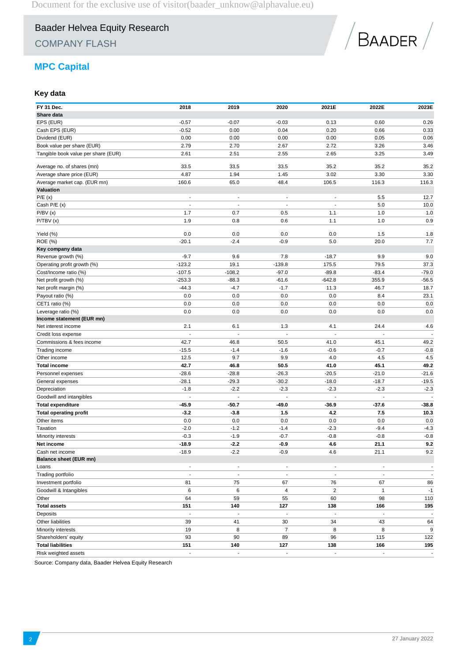COMPANY FLASH



## **MPC Capital**

## **Key data**

| FY 31 Dec.<br>Share data            | 2018                     | 2019                     | 2020                     | 2021E                    | 2022E                    | 2023E                    |
|-------------------------------------|--------------------------|--------------------------|--------------------------|--------------------------|--------------------------|--------------------------|
|                                     |                          |                          |                          |                          |                          |                          |
| EPS (EUR)                           | $-0.57$                  | $-0.07$                  | $-0.03$                  | 0.13                     | 0.60                     | 0.26                     |
| Cash EPS (EUR)                      | $-0.52$                  | 0.00                     | 0.04                     | 0.20                     | 0.66                     | 0.33                     |
| Dividend (EUR)                      | 0.00                     | 0.00                     | 0.00                     | 0.00                     | 0.05                     | 0.06                     |
| Book value per share (EUR)          | 2.79                     | 2.70                     | 2.67                     | 2.72                     | 3.26                     | 3.46                     |
| Tangible book value per share (EUR) | 2.61                     | 2.51                     | 2.55                     | 2.65                     | 3.25                     | 3.49                     |
| Average no. of shares (mn)          | 33.5                     | 33.5                     | 33.5                     | 35.2                     | 35.2                     | 35.2                     |
| Average share price (EUR)           | 4.87                     | 1.94                     | 1.45                     | 3.02                     | 3.30                     | 3.30                     |
| Average market cap. (EUR mn)        | 160.6                    | 65.0                     | 48.4                     | 106.5                    | 116.3                    | 116.3                    |
| Valuation                           |                          |                          |                          |                          |                          |                          |
| P/E(x)                              | $\overline{a}$           | $\overline{\phantom{a}}$ | $\overline{a}$           | $\overline{a}$           | 5.5                      | 12.7                     |
| Cash P/E (x)                        |                          |                          |                          |                          | 5.0                      | 10.0                     |
| P/BV(x)                             | 1.7                      | 0.7                      | 0.5                      | 1.1                      | 1.0                      | 1.0                      |
| P/TBV(x)                            | 1.9                      | 0.8                      | 0.6                      | 1.1                      | 1.0                      | 0.9                      |
| Yield (%)                           | 0.0                      | 0.0                      | 0.0                      | 0.0                      | 1.5                      | 1.8                      |
| <b>ROE</b> (%)                      | $-20.1$                  | $-2.4$                   | $-0.9$                   | 5.0                      | 20.0                     | 7.7                      |
| Key company data                    |                          |                          |                          |                          |                          |                          |
| Revenue growth (%)                  | $-9.7$                   | 9.6                      | 7.8                      | $-18.7$                  | 9.9                      | 9.0                      |
| Operating profit growth (%)         | $-123.2$                 | 19.1                     | $-139.8$                 | 175.5                    | 79.5                     | 37.3                     |
| Cost/Income ratio (%)               | $-107.5$                 | $-108.2$                 | $-97.0$                  | $-89.8$                  | $-83.4$                  | $-79.0$                  |
| Net profit growth (%)               | $-253.3$                 | $-88.3$                  | $-61.6$                  | $-642.8$                 | 355.9                    | $-56.5$                  |
| Net profit margin (%)               | $-44.3$                  | $-4.7$                   | $-1.7$                   | 11.3                     | 46.7                     | 18.7                     |
| Payout ratio (%)                    | 0.0                      | 0.0                      | 0.0                      | 0.0                      | 8.4                      | 23.1                     |
| CET1 ratio (%)                      | 0.0                      | 0.0                      | 0.0                      | 0.0                      | 0.0                      | 0.0                      |
| Leverage ratio (%)                  | 0.0                      | 0.0                      | 0.0                      | 0.0                      | 0.0                      | 0.0                      |
| Income statement (EUR mn)           |                          |                          |                          |                          |                          |                          |
| Net interest income                 | 2.1                      | 6.1                      | 1.3                      | 4.1                      | 24.4                     | 4.6                      |
| Credit loss expense                 |                          |                          | Ĭ.                       | J.                       | $\overline{a}$           |                          |
| Commissions & fees income           | 42.7                     | 46.8                     | 50.5                     | 41.0                     | 45.1                     | 49.2                     |
| Trading income                      | $-15.5$                  | $-1.4$                   | $-1.6$                   | $-0.6$                   | $-0.7$                   | $-0.8$                   |
| Other income                        | 12.5                     | 9.7                      | 9.9                      | 4.0                      | 4.5                      | 4.5                      |
| <b>Total income</b>                 | 42.7                     | 46.8                     | 50.5                     | 41.0                     | 45.1                     | 49.2                     |
| Personnel expenses                  | $-28.6$                  | $-28.8$                  | $-26.3$                  | $-20.5$                  | $-21.0$                  | $-21.6$                  |
| General expenses                    | $-28.1$                  | $-29.3$                  | $-30.2$                  | $-18.0$                  | $-18.7$                  | $-19.5$                  |
| Depreciation                        | $-1.8$                   | $-2.2$                   | $-2.3$                   | $-2.3$                   | $-2.3$                   | $-2.3$                   |
| Goodwill and intangibles            | $\blacksquare$           | $\overline{\phantom{a}}$ | $\overline{a}$           | L,                       | $\overline{\phantom{a}}$ | $\overline{\phantom{a}}$ |
| <b>Total expenditure</b>            | -45.9                    | -50.7                    | -49.0                    | -36.9                    | -37.6                    | $-38.8$                  |
| <b>Total operating profit</b>       | $-3.2$                   | $-3.8$                   | 1.5                      | 4.2                      | 7.5                      | 10.3                     |
| Other items                         | 0.0                      | 0.0                      | 0.0                      | 0.0                      | 0.0                      | 0.0                      |
| Taxation                            | $-2.0$                   | $-1.2$                   | $-1.4$                   | $-2.3$                   | $-9.4$                   | $-4.3$                   |
| Minority interests                  | $-0.3$                   | $-1.9$                   | $-0.7$                   | $-0.8$                   | $-0.8$                   | $-0.8$                   |
| Net income                          | $-18.9$                  | $-2.2$                   | $-0.9$                   | 4.6                      | 21.1                     | 9.2                      |
| Cash net income                     | $-18.9$                  | $-2.2$                   | $-0.9$                   | 4.6                      | 21.1                     | 9.2                      |
| <b>Balance sheet (EUR mn)</b>       |                          |                          |                          |                          |                          |                          |
| Loans                               | $\overline{\phantom{m}}$ | $\overline{\phantom{a}}$ | $\overline{\phantom{a}}$ | $\overline{\phantom{a}}$ | $\overline{\phantom{a}}$ | $\overline{\phantom{a}}$ |
| Trading portfolio                   | $\blacksquare$           | $\overline{\phantom{a}}$ | $\overline{\phantom{a}}$ | $\sim$                   | $\blacksquare$           | $\sim$                   |
| Investment portfolio                | 81                       | 75                       | 67                       | 76                       | 67                       | 86                       |
| Goodwill & Intangibles              | 6                        | 6                        | 4                        | $\overline{c}$           | $\mathbf{1}$             | $-1$                     |
| Other                               | 64                       | 59                       | 55                       | 60                       | 98                       | 110                      |
| <b>Total assets</b>                 | 151                      | 140                      | 127                      | 138                      | 166                      | 195                      |
|                                     | $\blacksquare$           | $\overline{a}$           | $\blacksquare$           | $\overline{\phantom{a}}$ | $\Box$                   | $\blacksquare$           |
| Deposits<br>Other liabilities       |                          |                          |                          |                          |                          |                          |
|                                     | 39                       | 41                       | 30                       | 34                       | 43                       | 64                       |
| Minority interests                  | 19                       | 8                        | $\overline{7}$           | 8                        | 8                        | 9                        |
| Shareholders' equity                | 93                       | 90                       | 89                       | 96                       | 115                      | 122                      |
| <b>Total liabilities</b>            | 151                      | 140                      | 127                      | 138                      | 166                      | 195                      |
| Risk weighted assets                | $\overline{\phantom{a}}$ | $\overline{\phantom{a}}$ | $\overline{\phantom{a}}$ | $\overline{\phantom{a}}$ | ÷,                       | $\blacksquare$           |

Source: Company data, Baader Helvea Equity Research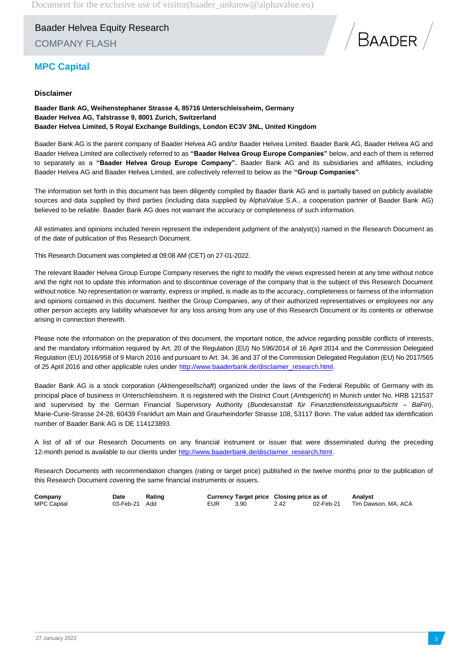Baader Helvea Equity Research COMPANY FLASH



## **MPC Capital**

### **Disclaimer**

**Baader Bank AG, Weihenstephaner Strasse 4, 85716 Unterschleissheim, Germany Baader Helvea AG, Talstrasse 9, 8001 Zurich, Switzerland Baader Helvea Limited, 5 Royal Exchange Buildings, London EC3V 3NL, United Kingdom**

Baader Bank AG is the parent company of Baader Helvea AG and/or Baader Helvea Limited. Baader Bank AG, Baader Helvea AG and Baader Helvea Limited are collectively referred to as **"Baader Helvea Group Europe Companies"** below, and each of them is referred to separately as a **"Baader Helvea Group Europe Company".** Baader Bank AG and its subsidiaries and affiliates, including Baader Helvea AG and Baader Helvea Limited, are collectively referred to below as the **"Group Companies"**.

The information set forth in this document has been diligently compiled by Baader Bank AG and is partially based on publicly available sources and data supplied by third parties (including data supplied by AlphaValue S.A., a cooperation partner of Baader Bank AG) believed to be reliable. Baader Bank AG does not warrant the accuracy or completeness of such information.

All estimates and opinions included herein represent the independent judgment of the analyst(s) named in the Research Document as of the date of publication of this Research Document.

This Research Document was completed at 09:08 AM (CET) on 27-01-2022.

The relevant Baader Helvea Group Europe Company reserves the right to modify the views expressed herein at any time without notice and the right not to update this information and to discontinue coverage of the company that is the subject of this Research Document without notice. No representation or warranty, express or implied, is made as to the accuracy, completeness or fairness of the information and opinions contained in this document. Neither the Group Companies, any of their authorized representatives or employees nor any other person accepts any liability whatsoever for any loss arising from any use of this Research Document or its contents or otherwise arising in connection therewith.

Please note the information on the preparation of this document, the important notice, the advice regarding possible conflicts of interests, and the mandatory information required by Art. 20 of the Regulation (EU) No 596/2014 of 16 April 2014 and the Commission Delegated Regulation (EU) 2016/958 of 9 March 2016 and pursuant to Art. 34, 36 and 37 of the Commission Delegated Regulation (EU) No 2017/565 of 25 April 2016 and other applicable rules under [http://www.baaderbank.de/disclaimer\\_research.html.](http://www.baaderbank.de/disclaimer_research.html)

Baader Bank AG is a stock corporation (*Aktiengesellschaft*) organized under the laws of the Federal Republic of Germany with its principal place of business in Unterschleissheim. It is registered with the District Court (*Amtsgericht*) in Munich under No. HRB 121537 and supervised by the German Financial Supervisory Authority (*Bundesanstalt für Finanzdienstleistungsaufsicht* – *BaFin*), Marie-Curie-Strasse 24-28, 60439 Frankfurt am Main and Graurheindorfer Strasse 108, 53117 Bonn. The value added tax identification number of Baader Bank AG is DE 114123893.

A list of all of our Research Documents on any financial instrument or issuer that were disseminated during the preceding 12-month period is available to our clients under [http://www.baaderbank.de/disclaimer\\_research.html.](http://www.baaderbank.de/disclaimer_research.html)

Research Documents with recommendation changes (rating or target price) published in the twelve months prior to the publication of this Research Document covering the same financial instruments or issuers.

| Company            | Date          | Rating |     | Currency Target price Closing price as of |      |           | Analyst             |
|--------------------|---------------|--------|-----|-------------------------------------------|------|-----------|---------------------|
| <b>MPC Capital</b> | 03-Feb-21 Add |        | EUR | 3.90                                      | 2.42 | 02-Feb-21 | Tim Dawson, MA, ACA |